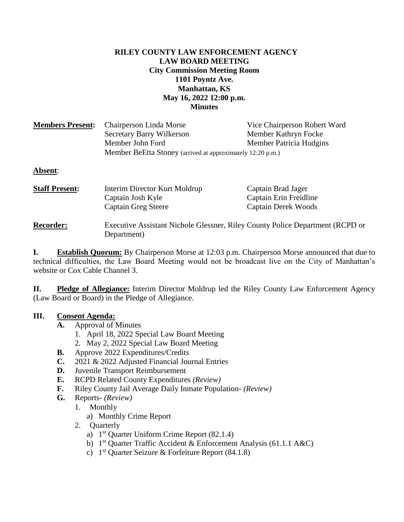### **RILEY COUNTY LAW ENFORCEMENT AGENCY LAW BOARD MEETING City Commission Meeting Room 1101 Poyntz Ave. Manhattan, KS May 16, 2022 12:00 p.m. Minutes**

| <b>Members Present:</b> | Chairperson Linda Morse                                                                      | Vice Chairperson Robert Ward |
|-------------------------|----------------------------------------------------------------------------------------------|------------------------------|
|                         | Secretary Barry Wilkerson                                                                    | Member Kathryn Focke         |
|                         | Member John Ford                                                                             | Member Patricia Hudgins      |
|                         | Member BeEtta Stoney (arrived at approximately 12:20 p.m.)                                   |                              |
| Absent:                 |                                                                                              |                              |
| <b>Staff Present:</b>   | Interim Director Kurt Moldrup                                                                | Captain Brad Jager           |
|                         | Captain Josh Kyle                                                                            | Captain Erin Freidline       |
|                         | <b>Captain Greg Steere</b>                                                                   | <b>Captain Derek Woods</b>   |
| <b>Recorder:</b>        | Executive Assistant Nichole Glessner, Riley County Police Department (RCPD or<br>Department) |                              |
|                         |                                                                                              |                              |

**I. Establish Quorum:** By Chairperson Morse at 12:03 p.m. Chairperson Morse announced that due to technical difficulties, the Law Board Meeting would not be broadcast live on the City of Manhattan's website or Cox Cable Channel 3.

**II. Pledge of Allegiance:** Interim Director Moldrup led the Riley County Law Enforcement Agency (Law Board or Board) in the Pledge of Allegiance.

## **III. Consent Agenda:**

- **A.** Approval of Minutes
	- 1. April 18, 2022 Special Law Board Meeting
	- 2. May 2, 2022 Special Law Board Meeting
- **B.** Approve 2022 Expenditures/Credits
- **C.** 2021 & 2022 Adjusted Financial Journal Entries
- **D.** Juvenile Transport Reimbursement
- **E.** RCPD Related County Expenditures *(Review)*
- **F.** Riley County Jail Average Daily Inmate Population- *(Review)*
- **G.** Reports- *(Review)*
	- 1. Monthly
		- a) Monthly Crime Report
	- 2. Quarterly
		- a)  $1<sup>st</sup>$  Quarter Uniform Crime Report (82.1.4)
		- b) 1<sup>st</sup> Quarter Traffic Accident & Enforcement Analysis (61.1.1 A&C)
		- c)  $1<sup>st</sup>$  Quarter Seizure & Forfeiture Report (84.1.8)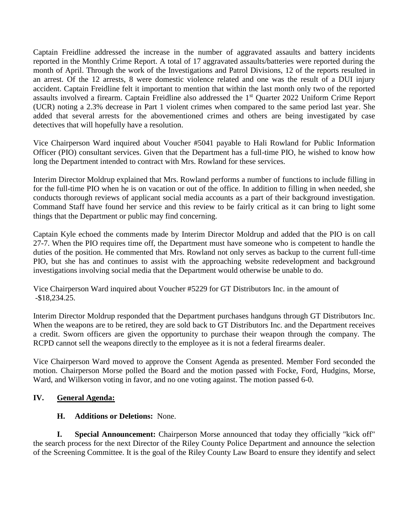Captain Freidline addressed the increase in the number of aggravated assaults and battery incidents reported in the Monthly Crime Report. A total of 17 aggravated assaults/batteries were reported during the month of April. Through the work of the Investigations and Patrol Divisions, 12 of the reports resulted in an arrest. Of the 12 arrests, 8 were domestic violence related and one was the result of a DUI injury accident. Captain Freidline felt it important to mention that within the last month only two of the reported assaults involved a firearm. Captain Freidline also addressed the 1<sup>st</sup> Quarter 2022 Uniform Crime Report (UCR) noting a 2.3% decrease in Part 1 violent crimes when compared to the same period last year. She added that several arrests for the abovementioned crimes and others are being investigated by case detectives that will hopefully have a resolution.

Vice Chairperson Ward inquired about Voucher #5041 payable to Hali Rowland for Public Information Officer (PIO) consultant services. Given that the Department has a full-time PIO, he wished to know how long the Department intended to contract with Mrs. Rowland for these services.

Interim Director Moldrup explained that Mrs. Rowland performs a number of functions to include filling in for the full-time PIO when he is on vacation or out of the office. In addition to filling in when needed, she conducts thorough reviews of applicant social media accounts as a part of their background investigation. Command Staff have found her service and this review to be fairly critical as it can bring to light some things that the Department or public may find concerning.

Captain Kyle echoed the comments made by Interim Director Moldrup and added that the PIO is on call 27-7. When the PIO requires time off, the Department must have someone who is competent to handle the duties of the position. He commented that Mrs. Rowland not only serves as backup to the current full-time PIO, but she has and continues to assist with the approaching website redevelopment and background investigations involving social media that the Department would otherwise be unable to do.

Vice Chairperson Ward inquired about Voucher #5229 for GT Distributors Inc. in the amount of -\$18,234.25.

Interim Director Moldrup responded that the Department purchases handguns through GT Distributors Inc. When the weapons are to be retired, they are sold back to GT Distributors Inc. and the Department receives a credit. Sworn officers are given the opportunity to purchase their weapon through the company. The RCPD cannot sell the weapons directly to the employee as it is not a federal firearms dealer.

Vice Chairperson Ward moved to approve the Consent Agenda as presented. Member Ford seconded the motion. Chairperson Morse polled the Board and the motion passed with Focke, Ford, Hudgins, Morse, Ward, and Wilkerson voting in favor, and no one voting against. The motion passed 6-0.

## **IV. General Agenda:**

# **H. Additions or Deletions:** None.

**I. Special Announcement:** Chairperson Morse announced that today they officially "kick off" the search process for the next Director of the Riley County Police Department and announce the selection of the Screening Committee. It is the goal of the Riley County Law Board to ensure they identify and select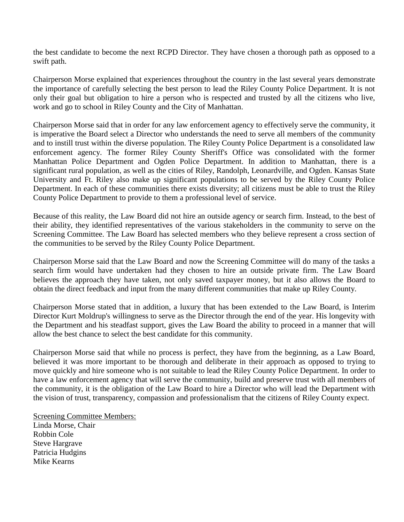the best candidate to become the next RCPD Director. They have chosen a thorough path as opposed to a swift path.

Chairperson Morse explained that experiences throughout the country in the last several years demonstrate the importance of carefully selecting the best person to lead the Riley County Police Department. It is not only their goal but obligation to hire a person who is respected and trusted by all the citizens who live, work and go to school in Riley County and the City of Manhattan.

Chairperson Morse said that in order for any law enforcement agency to effectively serve the community, it is imperative the Board select a Director who understands the need to serve all members of the community and to instill trust within the diverse population. The Riley County Police Department is a consolidated law enforcement agency. The former Riley County Sheriff's Office was consolidated with the former Manhattan Police Department and Ogden Police Department. In addition to Manhattan, there is a significant rural population, as well as the cities of Riley, Randolph, Leonardville, and Ogden. Kansas State University and Ft. Riley also make up significant populations to be served by the Riley County Police Department. In each of these communities there exists diversity; all citizens must be able to trust the Riley County Police Department to provide to them a professional level of service.

Because of this reality, the Law Board did not hire an outside agency or search firm. Instead, to the best of their ability, they identified representatives of the various stakeholders in the community to serve on the Screening Committee. The Law Board has selected members who they believe represent a cross section of the communities to be served by the Riley County Police Department.

Chairperson Morse said that the Law Board and now the Screening Committee will do many of the tasks a search firm would have undertaken had they chosen to hire an outside private firm. The Law Board believes the approach they have taken, not only saved taxpayer money, but it also allows the Board to obtain the direct feedback and input from the many different communities that make up Riley County.

Chairperson Morse stated that in addition, a luxury that has been extended to the Law Board, is Interim Director Kurt Moldrup's willingness to serve as the Director through the end of the year. His longevity with the Department and his steadfast support, gives the Law Board the ability to proceed in a manner that will allow the best chance to select the best candidate for this community.

Chairperson Morse said that while no process is perfect, they have from the beginning, as a Law Board, believed it was more important to be thorough and deliberate in their approach as opposed to trying to move quickly and hire someone who is not suitable to lead the Riley County Police Department. In order to have a law enforcement agency that will serve the community, build and preserve trust with all members of the community, it is the obligation of the Law Board to hire a Director who will lead the Department with the vision of trust, transparency, compassion and professionalism that the citizens of Riley County expect.

Screening Committee Members: Linda Morse, Chair Robbin Cole Steve Hargrave Patricia Hudgins Mike Kearns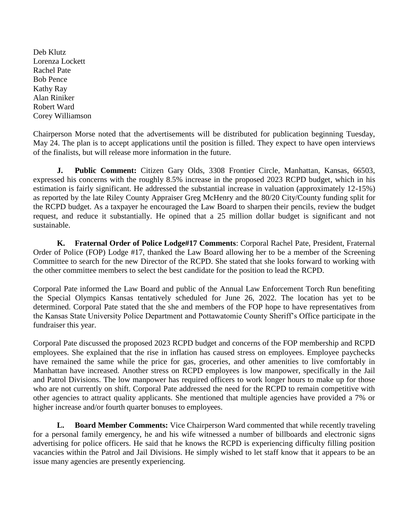Deb Klutz Lorenza Lockett Rachel Pate Bob Pence Kathy Ray Alan Riniker Robert Ward Corey Williamson

Chairperson Morse noted that the advertisements will be distributed for publication beginning Tuesday, May 24. The plan is to accept applications until the position is filled. They expect to have open interviews of the finalists, but will release more information in the future.

**J. Public Comment:** Citizen Gary Olds, 3308 Frontier Circle, Manhattan, Kansas, 66503, expressed his concerns with the roughly 8.5% increase in the proposed 2023 RCPD budget, which in his estimation is fairly significant. He addressed the substantial increase in valuation (approximately 12-15%) as reported by the late Riley County Appraiser Greg McHenry and the 80/20 City/County funding split for the RCPD budget. As a taxpayer he encouraged the Law Board to sharpen their pencils, review the budget request, and reduce it substantially. He opined that a 25 million dollar budget is significant and not sustainable.

**K. Fraternal Order of Police Lodge#17 Comments**: Corporal Rachel Pate, President, Fraternal Order of Police (FOP) Lodge #17, thanked the Law Board allowing her to be a member of the Screening Committee to search for the new Director of the RCPD. She stated that she looks forward to working with the other committee members to select the best candidate for the position to lead the RCPD.

Corporal Pate informed the Law Board and public of the Annual Law Enforcement Torch Run benefiting the Special Olympics Kansas tentatively scheduled for June 26, 2022. The location has yet to be determined. Corporal Pate stated that the she and members of the FOP hope to have representatives from the Kansas State University Police Department and Pottawatomie County Sheriff's Office participate in the fundraiser this year.

Corporal Pate discussed the proposed 2023 RCPD budget and concerns of the FOP membership and RCPD employees. She explained that the rise in inflation has caused stress on employees. Employee paychecks have remained the same while the price for gas, groceries, and other amenities to live comfortably in Manhattan have increased. Another stress on RCPD employees is low manpower, specifically in the Jail and Patrol Divisions. The low manpower has required officers to work longer hours to make up for those who are not currently on shift. Corporal Pate addressed the need for the RCPD to remain competitive with other agencies to attract quality applicants. She mentioned that multiple agencies have provided a 7% or higher increase and/or fourth quarter bonuses to employees.

**L. Board Member Comments:** Vice Chairperson Ward commented that while recently traveling for a personal family emergency, he and his wife witnessed a number of billboards and electronic signs advertising for police officers. He said that he knows the RCPD is experiencing difficulty filling position vacancies within the Patrol and Jail Divisions. He simply wished to let staff know that it appears to be an issue many agencies are presently experiencing.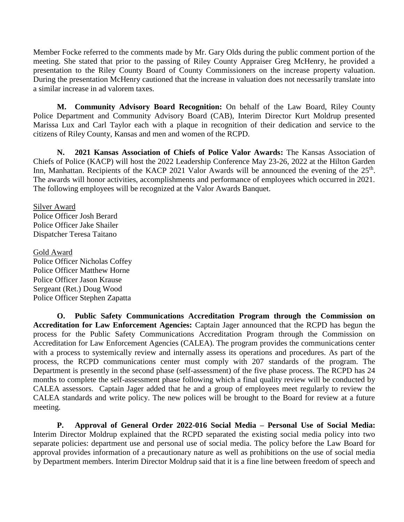Member Focke referred to the comments made by Mr. Gary Olds during the public comment portion of the meeting. She stated that prior to the passing of Riley County Appraiser Greg McHenry, he provided a presentation to the Riley County Board of County Commissioners on the increase property valuation. During the presentation McHenry cautioned that the increase in valuation does not necessarily translate into a similar increase in ad valorem taxes.

**M. Community Advisory Board Recognition:** On behalf of the Law Board, Riley County Police Department and Community Advisory Board (CAB), Interim Director Kurt Moldrup presented Marissa Lux and Carl Taylor each with a plaque in recognition of their dedication and service to the citizens of Riley County, Kansas and men and women of the RCPD.

**N. 2021 Kansas Association of Chiefs of Police Valor Awards:** The Kansas Association of Chiefs of Police (KACP) will host the 2022 Leadership Conference May 23-26, 2022 at the Hilton Garden Inn, Manhattan. Recipients of the KACP 2021 Valor Awards will be announced the evening of the 25<sup>th</sup>. The awards will honor activities, accomplishments and performance of employees which occurred in 2021. The following employees will be recognized at the Valor Awards Banquet.

Silver Award Police Officer Josh Berard Police Officer Jake Shailer Dispatcher Teresa Taitano

Gold Award Police Officer Nicholas Coffey Police Officer Matthew Horne Police Officer Jason Krause Sergeant (Ret.) Doug Wood Police Officer Stephen Zapatta

**O. Public Safety Communications Accreditation Program through the Commission on Accreditation for Law Enforcement Agencies:** Captain Jager announced that the RCPD has begun the process for the Public Safety Communications Accreditation Program through the Commission on Accreditation for Law Enforcement Agencies (CALEA). The program provides the communications center with a process to systemically review and internally assess its operations and procedures. As part of the process, the RCPD communications center must comply with 207 standards of the program. The Department is presently in the second phase (self-assessment) of the five phase process. The RCPD has 24 months to complete the self-assessment phase following which a final quality review will be conducted by CALEA assessors. Captain Jager added that he and a group of employees meet regularly to review the CALEA standards and write policy. The new polices will be brought to the Board for review at a future meeting.

**P. Approval of General Order 2022-016 Social Media – Personal Use of Social Media:** Interim Director Moldrup explained that the RCPD separated the existing social media policy into two separate policies: department use and personal use of social media. The policy before the Law Board for approval provides information of a precautionary nature as well as prohibitions on the use of social media by Department members. Interim Director Moldrup said that it is a fine line between freedom of speech and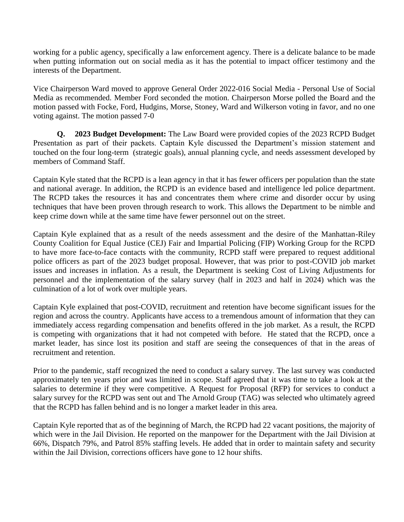working for a public agency, specifically a law enforcement agency. There is a delicate balance to be made when putting information out on social media as it has the potential to impact officer testimony and the interests of the Department.

Vice Chairperson Ward moved to approve General Order 2022-016 Social Media - Personal Use of Social Media as recommended. Member Ford seconded the motion. Chairperson Morse polled the Board and the motion passed with Focke, Ford, Hudgins, Morse, Stoney, Ward and Wilkerson voting in favor, and no one voting against. The motion passed 7-0

**Q. 2023 Budget Development:** The Law Board were provided copies of the 2023 RCPD Budget Presentation as part of their packets. Captain Kyle discussed the Department's mission statement and touched on the four long-term (strategic goals), annual planning cycle, and needs assessment developed by members of Command Staff.

Captain Kyle stated that the RCPD is a lean agency in that it has fewer officers per population than the state and national average. In addition, the RCPD is an evidence based and intelligence led police department. The RCPD takes the resources it has and concentrates them where crime and disorder occur by using techniques that have been proven through research to work. This allows the Department to be nimble and keep crime down while at the same time have fewer personnel out on the street.

Captain Kyle explained that as a result of the needs assessment and the desire of the Manhattan-Riley County Coalition for Equal Justice (CEJ) Fair and Impartial Policing (FIP) Working Group for the RCPD to have more face-to-face contacts with the community, RCPD staff were prepared to request additional police officers as part of the 2023 budget proposal. However, that was prior to post-COVID job market issues and increases in inflation. As a result, the Department is seeking Cost of Living Adjustments for personnel and the implementation of the salary survey (half in 2023 and half in 2024) which was the culmination of a lot of work over multiple years.

Captain Kyle explained that post-COVID, recruitment and retention have become significant issues for the region and across the country. Applicants have access to a tremendous amount of information that they can immediately access regarding compensation and benefits offered in the job market. As a result, the RCPD is competing with organizations that it had not competed with before. He stated that the RCPD, once a market leader, has since lost its position and staff are seeing the consequences of that in the areas of recruitment and retention.

Prior to the pandemic, staff recognized the need to conduct a salary survey. The last survey was conducted approximately ten years prior and was limited in scope. Staff agreed that it was time to take a look at the salaries to determine if they were competitive. A Request for Proposal (RFP) for services to conduct a salary survey for the RCPD was sent out and The Arnold Group (TAG) was selected who ultimately agreed that the RCPD has fallen behind and is no longer a market leader in this area.

Captain Kyle reported that as of the beginning of March, the RCPD had 22 vacant positions, the majority of which were in the Jail Division. He reported on the manpower for the Department with the Jail Division at 66%, Dispatch 79%, and Patrol 85% staffing levels. He added that in order to maintain safety and security within the Jail Division, corrections officers have gone to 12 hour shifts.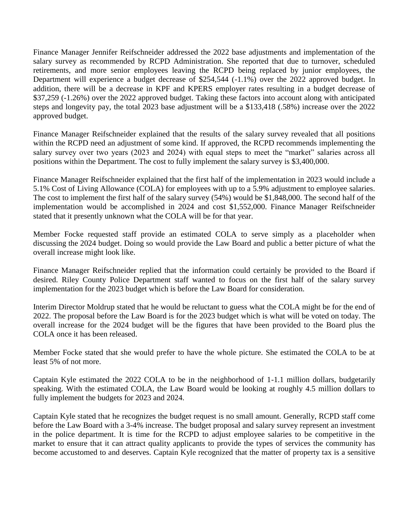Finance Manager Jennifer Reifschneider addressed the 2022 base adjustments and implementation of the salary survey as recommended by RCPD Administration. She reported that due to turnover, scheduled retirements, and more senior employees leaving the RCPD being replaced by junior employees, the Department will experience a budget decrease of \$254,544 (-1.1%) over the 2022 approved budget. In addition, there will be a decrease in KPF and KPERS employer rates resulting in a budget decrease of \$37,259 (-1.26%) over the 2022 approved budget. Taking these factors into account along with anticipated steps and longevity pay, the total 2023 base adjustment will be a \$133,418 (.58%) increase over the 2022 approved budget.

Finance Manager Reifschneider explained that the results of the salary survey revealed that all positions within the RCPD need an adjustment of some kind. If approved, the RCPD recommends implementing the salary survey over two years (2023 and 2024) with equal steps to meet the "market" salaries across all positions within the Department. The cost to fully implement the salary survey is \$3,400,000.

Finance Manager Reifschneider explained that the first half of the implementation in 2023 would include a 5.1% Cost of Living Allowance (COLA) for employees with up to a 5.9% adjustment to employee salaries. The cost to implement the first half of the salary survey (54%) would be \$1,848,000. The second half of the implementation would be accomplished in 2024 and cost \$1,552,000. Finance Manager Reifschneider stated that it presently unknown what the COLA will be for that year.

Member Focke requested staff provide an estimated COLA to serve simply as a placeholder when discussing the 2024 budget. Doing so would provide the Law Board and public a better picture of what the overall increase might look like.

Finance Manager Reifschneider replied that the information could certainly be provided to the Board if desired. Riley County Police Department staff wanted to focus on the first half of the salary survey implementation for the 2023 budget which is before the Law Board for consideration.

Interim Director Moldrup stated that he would be reluctant to guess what the COLA might be for the end of 2022. The proposal before the Law Board is for the 2023 budget which is what will be voted on today. The overall increase for the 2024 budget will be the figures that have been provided to the Board plus the COLA once it has been released.

Member Focke stated that she would prefer to have the whole picture. She estimated the COLA to be at least 5% of not more.

Captain Kyle estimated the 2022 COLA to be in the neighborhood of 1-1.1 million dollars, budgetarily speaking. With the estimated COLA, the Law Board would be looking at roughly 4.5 million dollars to fully implement the budgets for 2023 and 2024.

Captain Kyle stated that he recognizes the budget request is no small amount. Generally, RCPD staff come before the Law Board with a 3-4% increase. The budget proposal and salary survey represent an investment in the police department. It is time for the RCPD to adjust employee salaries to be competitive in the market to ensure that it can attract quality applicants to provide the types of services the community has become accustomed to and deserves. Captain Kyle recognized that the matter of property tax is a sensitive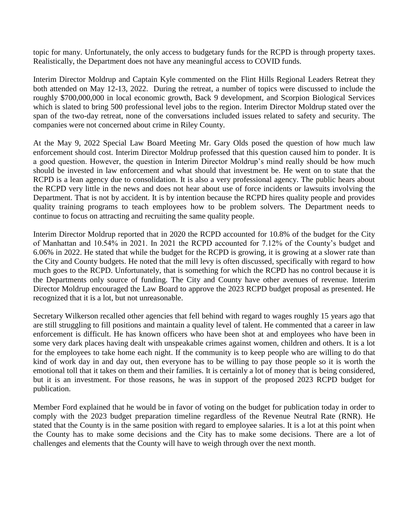topic for many. Unfortunately, the only access to budgetary funds for the RCPD is through property taxes. Realistically, the Department does not have any meaningful access to COVID funds.

Interim Director Moldrup and Captain Kyle commented on the Flint Hills Regional Leaders Retreat they both attended on May 12-13, 2022. During the retreat, a number of topics were discussed to include the roughly \$700,000,000 in local economic growth, Back 9 development, and Scorpion Biological Services which is slated to bring 500 professional level jobs to the region. Interim Director Moldrup stated over the span of the two-day retreat, none of the conversations included issues related to safety and security. The companies were not concerned about crime in Riley County.

At the May 9, 2022 Special Law Board Meeting Mr. Gary Olds posed the question of how much law enforcement should cost. Interim Director Moldrup professed that this question caused him to ponder. It is a good question. However, the question in Interim Director Moldrup's mind really should be how much should be invested in law enforcement and what should that investment be. He went on to state that the RCPD is a lean agency due to consolidation. It is also a very professional agency. The public hears about the RCPD very little in the news and does not hear about use of force incidents or lawsuits involving the Department. That is not by accident. It is by intention because the RCPD hires quality people and provides quality training programs to teach employees how to be problem solvers. The Department needs to continue to focus on attracting and recruiting the same quality people.

Interim Director Moldrup reported that in 2020 the RCPD accounted for 10.8% of the budget for the City of Manhattan and 10.54% in 2021. In 2021 the RCPD accounted for 7.12% of the County's budget and 6.06% in 2022. He stated that while the budget for the RCPD is growing, it is growing at a slower rate than the City and County budgets. He noted that the mill levy is often discussed, specifically with regard to how much goes to the RCPD. Unfortunately, that is something for which the RCPD has no control because it is the Departments only source of funding. The City and County have other avenues of revenue. Interim Director Moldrup encouraged the Law Board to approve the 2023 RCPD budget proposal as presented. He recognized that it is a lot, but not unreasonable.

Secretary Wilkerson recalled other agencies that fell behind with regard to wages roughly 15 years ago that are still struggling to fill positions and maintain a quality level of talent. He commented that a career in law enforcement is difficult. He has known officers who have been shot at and employees who have been in some very dark places having dealt with unspeakable crimes against women, children and others. It is a lot for the employees to take home each night. If the community is to keep people who are willing to do that kind of work day in and day out, then everyone has to be willing to pay those people so it is worth the emotional toll that it takes on them and their families. It is certainly a lot of money that is being considered, but it is an investment. For those reasons, he was in support of the proposed 2023 RCPD budget for publication.

Member Ford explained that he would be in favor of voting on the budget for publication today in order to comply with the 2023 budget preparation timeline regardless of the Revenue Neutral Rate (RNR). He stated that the County is in the same position with regard to employee salaries. It is a lot at this point when the County has to make some decisions and the City has to make some decisions. There are a lot of challenges and elements that the County will have to weigh through over the next month.